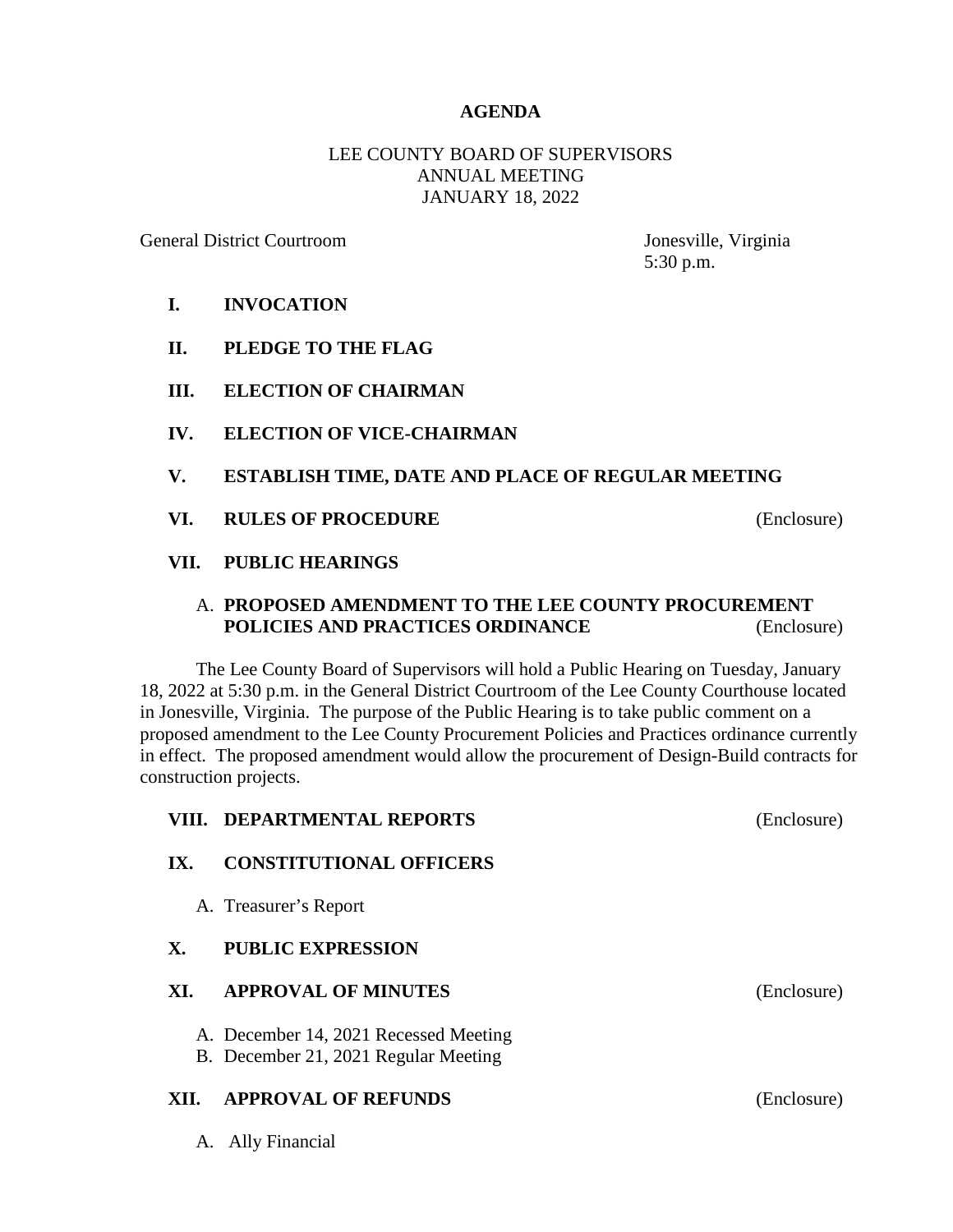### **AGENDA**

# LEE COUNTY BOARD OF SUPERVISORS ANNUAL MEETING JANUARY 18, 2022

General District Courtroom Jonesville, Virginia

5:30 p.m.

- **I. INVOCATION**
- **II. PLEDGE TO THE FLAG**
- **III. ELECTION OF CHAIRMAN**
- **IV. ELECTION OF VICE-CHAIRMAN**
- **V. ESTABLISH TIME, DATE AND PLACE OF REGULAR MEETING**
- **VI. RULES OF PROCEDURE** (Enclosure)

# **VII. PUBLIC HEARINGS**

## A. **PROPOSED AMENDMENT TO THE LEE COUNTY PROCUREMENT POLICIES AND PRACTICES ORDINANCE** (Enclosure)

The Lee County Board of Supervisors will hold a Public Hearing on Tuesday, January 18, 2022 at 5:30 p.m. in the General District Courtroom of the Lee County Courthouse located in Jonesville, Virginia. The purpose of the Public Hearing is to take public comment on a proposed amendment to the Lee County Procurement Policies and Practices ordinance currently in effect. The proposed amendment would allow the procurement of Design-Build contracts for construction projects.

|                | VIII. DEPARTMENTAL REPORTS                                                    | (Enclosure) |
|----------------|-------------------------------------------------------------------------------|-------------|
| IX.            | <b>CONSTITUTIONAL OFFICERS</b>                                                |             |
|                | A. Treasurer's Report                                                         |             |
| $\mathbf{X}$ . | <b>PUBLIC EXPRESSION</b>                                                      |             |
| XI.            | <b>APPROVAL OF MINUTES</b>                                                    | (Enclosure) |
|                | A. December 14, 2021 Recessed Meeting<br>B. December 21, 2021 Regular Meeting |             |
| XII.           | <b>APPROVAL OF REFUNDS</b>                                                    | (Enclosure) |

A. Ally Financial